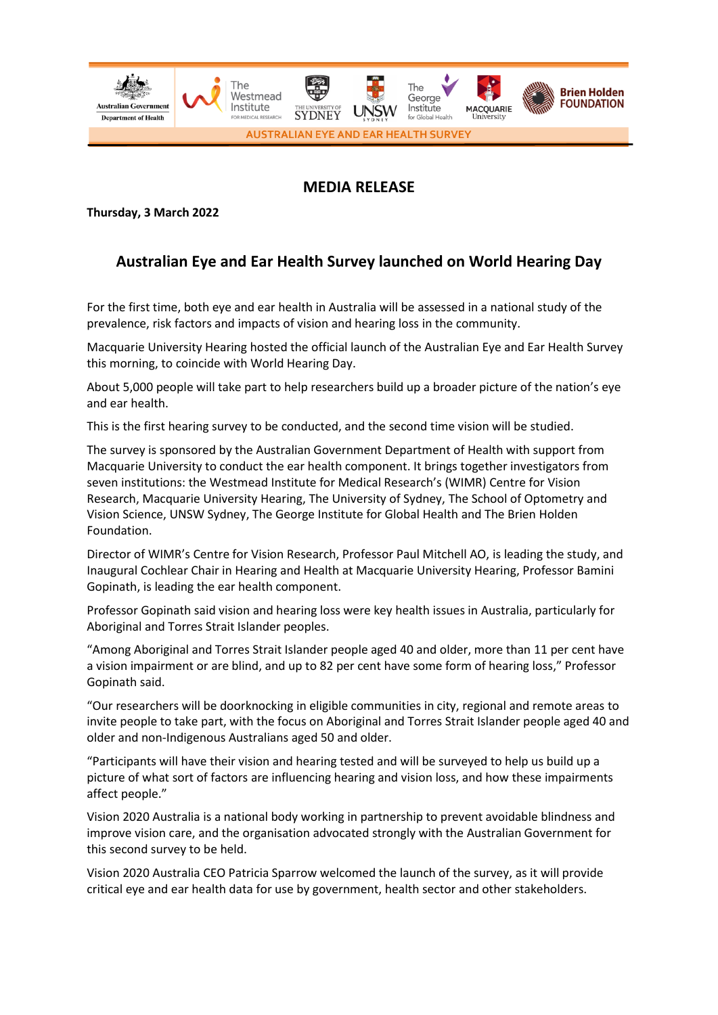

# **MEDIA RELEASE**

**Thursday, 3 March 2022**

# **Australian Eye and Ear Health Survey launched on World Hearing Day**

For the first time, both eye and ear health in Australia will be assessed in a national study of the prevalence, risk factors and impacts of vision and hearing loss in the community.

Macquarie University Hearing hosted the official launch of the Australian Eye and Ear Health Survey this morning, to coincide with World Hearing Day.

About 5,000 people will take part to help researchers build up a broader picture of the nation's eye and ear health.

This is the first hearing survey to be conducted, and the second time vision will be studied.

The survey is sponsored by the Australian Government Department of Health with support from Macquarie University to conduct the ear health component. It brings together investigators from seven institutions: the Westmead Institute for Medical Research's (WIMR) Centre for Vision Research, Macquarie University Hearing, The University of Sydney, The School of Optometry and Vision Science, UNSW Sydney, The George Institute for Global Health and The Brien Holden Foundation.

Director of WIMR's Centre for Vision Research, Professor Paul Mitchell AO, is leading the study, and Inaugural Cochlear Chair in Hearing and Health at Macquarie University Hearing, Professor Bamini Gopinath, is leading the ear health component.

Professor Gopinath said vision and hearing loss were key health issues in Australia, particularly for Aboriginal and Torres Strait Islander peoples.

"Among Aboriginal and Torres Strait Islander people aged 40 and older, more than 11 per cent have a vision impairment or are blind, and up to 82 per cent have some form of hearing loss," Professor Gopinath said.

"Our researchers will be doorknocking in eligible communities in city, regional and remote areas to invite people to take part, with the focus on Aboriginal and Torres Strait Islander people aged 40 and older and non-Indigenous Australians aged 50 and older.

"Participants will have their vision and hearing tested and will be surveyed to help us build up a picture of what sort of factors are influencing hearing and vision loss, and how these impairments affect people."

Vision 2020 Australia is a national body working in partnership to prevent avoidable blindness and improve vision care, and the organisation advocated strongly with the Australian Government for this second survey to be held.

Vision 2020 Australia CEO Patricia Sparrow welcomed the launch of the survey, as it will provide critical eye and ear health data for use by government, health sector and other stakeholders.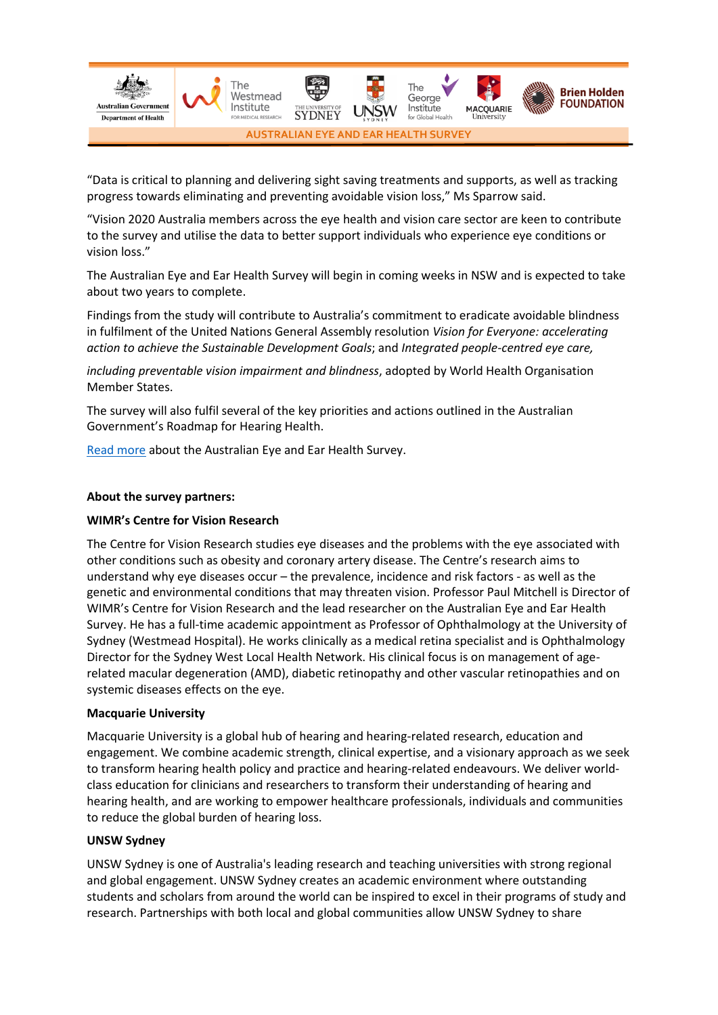

"Data is critical to planning and delivering sight saving treatments and supports, as well as tracking progress towards eliminating and preventing avoidable vision loss," Ms Sparrow said.

"Vision 2020 Australia members across the eye health and vision care sector are keen to contribute to the survey and utilise the data to better support individuals who experience eye conditions or vision loss."

The Australian Eye and Ear Health Survey will begin in coming weeks in NSW and is expected to take about two years to complete.

Findings from the study will contribute to Australia's commitment to eradicate avoidable blindness in fulfilment of the United Nations General Assembly resolution *Vision for Everyone: accelerating action to achieve the Sustainable Development Goals*; and *Integrated people-centred eye care,* 

*including preventable vision impairment and blindness*, adopted by World Health Organisation Member States.

The survey will also fulfil several of the key priorities and actions outlined in the Australian Government's Roadmap for Hearing Health.

[Read more](https://bit.ly/AEEHS) about the Australian Eye and Ear Health Survey.

## **About the survey partners:**

## **WIMR's Centre for Vision Research**

The Centre for Vision Research studies eye diseases and the problems with the eye associated with other conditions such as obesity and coronary artery disease. The Centre's research aims to understand why eye diseases occur – the prevalence, incidence and risk factors - as well as the genetic and environmental conditions that may threaten vision. Professor Paul Mitchell is Director of WIMR's Centre for Vision Research and the lead researcher on the Australian Eye and Ear Health Survey. He has a full-time academic appointment as Professor of Ophthalmology at the University of Sydney (Westmead Hospital). He works clinically as a medical retina specialist and is Ophthalmology Director for the Sydney West Local Health Network. His clinical focus is on management of agerelated macular degeneration (AMD), diabetic retinopathy and other vascular retinopathies and on systemic diseases effects on the eye.

#### **Macquarie University**

Macquarie University is a global hub of hearing and hearing-related research, education and engagement. We combine academic strength, clinical expertise, and a visionary approach as we seek to transform hearing health policy and practice and hearing-related endeavours. We deliver worldclass education for clinicians and researchers to transform their understanding of hearing and hearing health, and are working to empower healthcare professionals, individuals and communities to reduce the global burden of hearing loss.

#### **UNSW Sydney**

UNSW Sydney is one of Australia's leading research and teaching universities with strong regional and global engagement. UNSW Sydney creates an academic environment where outstanding students and scholars from around the world can be inspired to excel in their programs of study and research. Partnerships with both local and global communities allow UNSW Sydney to share